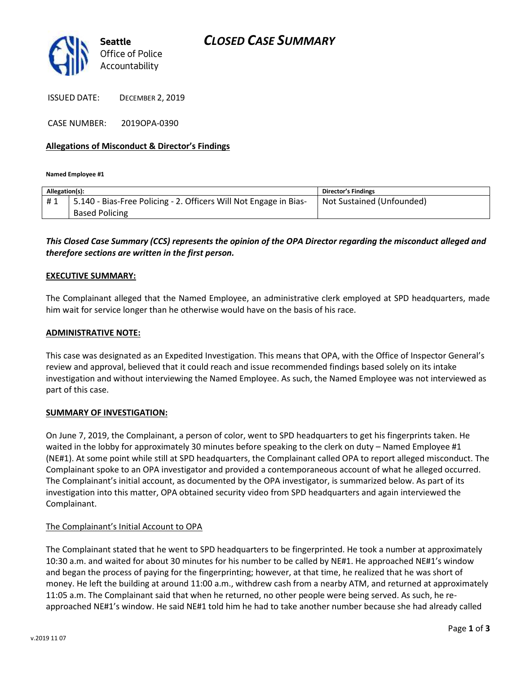

ISSUED DATE: DECEMBER 2, 2019

CASE NUMBER: 2019OPA-0390

## **Allegations of Misconduct & Director's Findings**

#### **Named Employee #1**

| Allegation(s): |                                                                   | Director's Findings       |
|----------------|-------------------------------------------------------------------|---------------------------|
| #1             | 5.140 - Bias-Free Policing - 2. Officers Will Not Engage in Bias- | Not Sustained (Unfounded) |
|                | <b>Based Policing</b>                                             |                           |
|                |                                                                   |                           |

## *This Closed Case Summary (CCS) represents the opinion of the OPA Director regarding the misconduct alleged and therefore sections are written in the first person.*

## **EXECUTIVE SUMMARY:**

The Complainant alleged that the Named Employee, an administrative clerk employed at SPD headquarters, made him wait for service longer than he otherwise would have on the basis of his race.

### **ADMINISTRATIVE NOTE:**

This case was designated as an Expedited Investigation. This means that OPA, with the Office of Inspector General's review and approval, believed that it could reach and issue recommended findings based solely on its intake investigation and without interviewing the Named Employee. As such, the Named Employee was not interviewed as part of this case.

### **SUMMARY OF INVESTIGATION:**

On June 7, 2019, the Complainant, a person of color, went to SPD headquarters to get his fingerprints taken. He waited in the lobby for approximately 30 minutes before speaking to the clerk on duty – Named Employee #1 (NE#1). At some point while still at SPD headquarters, the Complainant called OPA to report alleged misconduct. The Complainant spoke to an OPA investigator and provided a contemporaneous account of what he alleged occurred. The Complainant's initial account, as documented by the OPA investigator, is summarized below. As part of its investigation into this matter, OPA obtained security video from SPD headquarters and again interviewed the Complainant.

### The Complainant's Initial Account to OPA

The Complainant stated that he went to SPD headquarters to be fingerprinted. He took a number at approximately 10:30 a.m. and waited for about 30 minutes for his number to be called by NE#1. He approached NE#1's window and began the process of paying for the fingerprinting; however, at that time, he realized that he was short of money. He left the building at around 11:00 a.m., withdrew cash from a nearby ATM, and returned at approximately 11:05 a.m. The Complainant said that when he returned, no other people were being served. As such, he reapproached NE#1's window. He said NE#1 told him he had to take another number because she had already called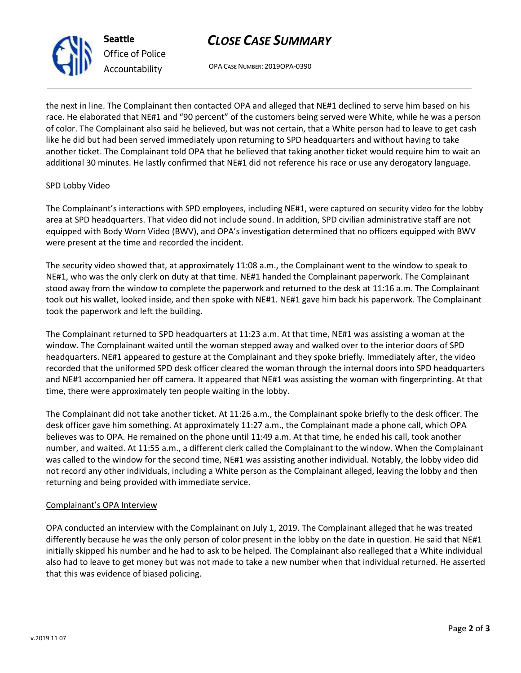# *CLOSE CASE SUMMARY*

OPA CASE NUMBER: 2019OPA-0390

the next in line. The Complainant then contacted OPA and alleged that NE#1 declined to serve him based on his race. He elaborated that NE#1 and "90 percent" of the customers being served were White, while he was a person of color. The Complainant also said he believed, but was not certain, that a White person had to leave to get cash like he did but had been served immediately upon returning to SPD headquarters and without having to take another ticket. The Complainant told OPA that he believed that taking another ticket would require him to wait an additional 30 minutes. He lastly confirmed that NE#1 did not reference his race or use any derogatory language.

## SPD Lobby Video

The Complainant's interactions with SPD employees, including NE#1, were captured on security video for the lobby area at SPD headquarters. That video did not include sound. In addition, SPD civilian administrative staff are not equipped with Body Worn Video (BWV), and OPA's investigation determined that no officers equipped with BWV were present at the time and recorded the incident.

The security video showed that, at approximately 11:08 a.m., the Complainant went to the window to speak to NE#1, who was the only clerk on duty at that time. NE#1 handed the Complainant paperwork. The Complainant stood away from the window to complete the paperwork and returned to the desk at 11:16 a.m. The Complainant took out his wallet, looked inside, and then spoke with NE#1. NE#1 gave him back his paperwork. The Complainant took the paperwork and left the building.

The Complainant returned to SPD headquarters at 11:23 a.m. At that time, NE#1 was assisting a woman at the window. The Complainant waited until the woman stepped away and walked over to the interior doors of SPD headquarters. NE#1 appeared to gesture at the Complainant and they spoke briefly. Immediately after, the video recorded that the uniformed SPD desk officer cleared the woman through the internal doors into SPD headquarters and NE#1 accompanied her off camera. It appeared that NE#1 was assisting the woman with fingerprinting. At that time, there were approximately ten people waiting in the lobby.

The Complainant did not take another ticket. At 11:26 a.m., the Complainant spoke briefly to the desk officer. The desk officer gave him something. At approximately 11:27 a.m., the Complainant made a phone call, which OPA believes was to OPA. He remained on the phone until 11:49 a.m. At that time, he ended his call, took another number, and waited. At 11:55 a.m., a different clerk called the Complainant to the window. When the Complainant was called to the window for the second time, NE#1 was assisting another individual. Notably, the lobby video did not record any other individuals, including a White person as the Complainant alleged, leaving the lobby and then returning and being provided with immediate service.

## Complainant's OPA Interview

OPA conducted an interview with the Complainant on July 1, 2019. The Complainant alleged that he was treated differently because he was the only person of color present in the lobby on the date in question. He said that NE#1 initially skipped his number and he had to ask to be helped. The Complainant also realleged that a White individual also had to leave to get money but was not made to take a new number when that individual returned. He asserted that this was evidence of biased policing.



**Seattle**

*Office of Police Accountability*